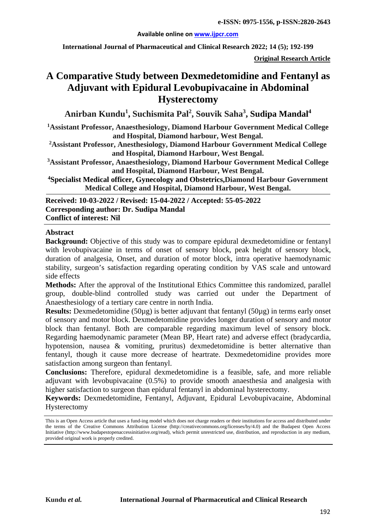#### **Available online on [www.ijpcr.com](http://www.ijpcr.com/)**

**International Journal of Pharmaceutical and Clinical Research 2022; 14 (5); 192-199**

**Original Research Article**

# **A Comparative Study between Dexmedetomidine and Fentanyl as Adjuvant with Epidural Levobupivacaine in Abdominal Hysterectomy**

**Anirban Kundu<sup>1</sup> , Suchismita Pal<sup>2</sup> , Souvik Saha3 , Sudipa Mandal4**

**1 Assistant Professor, Anaesthesiology, Diamond Harbour Government Medical College and Hospital, Diamond harbour, West Bengal.**

**2Assistant Professor, Anesthesiology, Diamond Harbour Government Medical College and Hospital, Diamond Harbour, West Bengal.**

**3 Assistant Professor, Anaesthesiology, Diamond Harbour Government Medical College and Hospital, Diamond Harbour, West Bengal.**

**4 Specialist Medical officer, Gynecology and Obstetrics,Diamond Harbour Government Medical College and Hospital, Diamond Harbour, West Bengal.**

**Received: 10-03-2022 / Revised: 15-04-2022 / Accepted: 55-05-2022 Corresponding author: Dr. Sudipa Mandal Conflict of interest: Nil**

#### **Abstract**

**Background:** Objective of this study was to compare epidural dexmedetomidine or fentanyl with levobupivacaine in terms of onset of sensory block, peak height of sensory block, duration of analgesia, Onset, and duration of motor block, intra operative haemodynamic stability, surgeon's satisfaction regarding operating condition by VAS scale and untoward side effects

**Methods:** After the approval of the Institutional Ethics Committee this randomized, parallel group, double-blind controlled study was carried out under the Department of Anaesthesiology of a tertiary care centre in north India.

**Results:** Dexmedetomidine (50µg) is better adjuvant that fentanyl (50µg) in terms early onset of sensory and motor block. Dexmedetomidine provides longer duration of sensory and motor block than fentanyl. Both are comparable regarding maximum level of sensory block. Regarding haemodynamic parameter (Mean BP, Heart rate) and adverse effect (bradycardia, hypotension, nausea & vomiting, pruritus) dexmedetomidine is better alternative than fentanyl, though it cause more decrease of heartrate. Dexmedetomidine provides more satisfaction among surgeon than fentanyl.

**Conclusions:** Therefore, epidural dexmedetomidine is a feasible, safe, and more reliable adjuvant with levobupivacaine (0.5%) to provide smooth anaesthesia and analgesia with higher satisfaction to surgeon than epidural fentanyl in abdominal hysterectomy.

**Keywords:** Dexmedetomidine, Fentanyl, Adjuvant, Epidural Levobupivacaine, Abdominal Hysterectomy

This is an Open Access article that uses a fund-ing model which does not charge readers or their institutions for access and distributed under the terms of the Creative Commons Attribution License (http://creativecommons.org/licenses/by/4.0) and the Budapest Open Access Initiative (http://www.budapestopenaccessinitiative.org/read), which permit unrestricted use, distribution, and reproduction in any medium, provided original work is properly credited.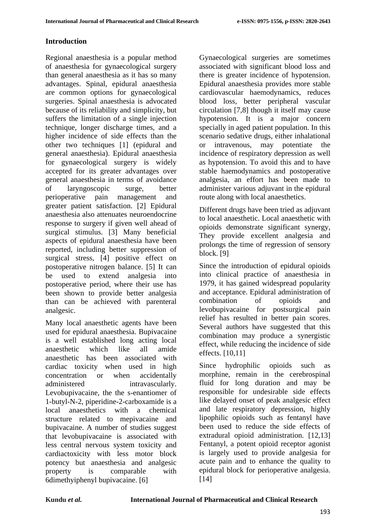## **Introduction**

Regional anaesthesia is a popular method of anaesthesia for gynaecological surgery than general anaesthesia as it has so many advantages. Spinal, epidural anaesthesia are common options for gynaecological surgeries. Spinal anaesthesia is advocated because of its reliability and simplicity, but suffers the limitation of a single injection technique, longer discharge times, and a higher incidence of side effects than the other two techniques [1] (epidural and general anaesthesia). Epidural anaesthesia for gynaecological surgery is widely accepted for its greater advantages over general anaesthesia in terms of avoidance of laryngoscopic surge, better perioperative pain management and greater patient satisfaction. [2] Epidural anaesthesia also attenuates neuroendocrine response to surgery if given well ahead of surgical stimulus. [3] Many beneficial aspects of epidural anaesthesia have been reported, including better suppression of surgical stress, [4] positive effect on postoperative nitrogen balance. [5] It can be used to extend analgesia into postoperative period, where their use has been shown to provide better analgesia than can be achieved with parenteral analgesic.

Many local anaesthetic agents have been used for epidural anaesthesia. Bupivacaine is a well established long acting local anaesthetic which like all amide anaesthetic has been associated with cardiac toxicity when used in high concentration or when accidentally administered intravascularly. Levobupivacaine, the the s-enantiomer of 1-butyl-N-2, piperidine-2-carboxamide is a local anaesthetics with a chemical structure related to mepivacaine and bupivacaine. A number of studies suggest that levobupivacaine is associated with less central nervous system toxicity and cardiactoxicity with less motor block potency but anaesthesia and analgesic property is comparable with 6dimethyiphenyl bupivacaine. [6]

Gynaecological surgeries are sometimes associated with significant blood loss and there is greater incidence of hypotension. Epidural anaesthesia provides more stable cardiovascular haemodynamics, reduces blood loss, better peripheral vascular circulation [7,8] though it itself may cause hypotension. It is a major concern specially in aged patient population. In this scenario sedative drugs, either inhalational or intravenous, may potentiate the incidence of respiratory depression as well as hypotension. To avoid this and to have stable haemodynamics and postoperative analgesia, an effort has been made to administer various adjuvant in the epidural route along with local anaesthetics.

Different drugs have been tried as adjuvant to local anaesthetic. Local anaesthetic with opioids demonstrate significant synergy, They provide excellent analgesia and prolongs the time of regression of sensory block. [9]

Since the introduction of epidural opioids into clinical practice of anaesthesia in 1979, it has gained widespread popularity and acceptance. Epidural administration of combination of opioids and levobupivacaine for postsurgical pain relief has resulted in better pain scores. Several authors have suggested that this combination may produce a synergistic effect, while reducing the incidence of side effects. [10,11]

Since hydrophilic opioids such as morphine, remain in the cerebrospinal fluid for long duration and may be responsible for undesirable side effects like delayed onset of peak analgesic effect and late respiratory depression, highly lipophilic opioids such as fentanyl have been used to reduce the side effects of extradural opioid administration. [12,13] Fentanyl, a potent opioid receptor agonist is largely used to provide analgesia for acute pain and to enhance the quality to epidural block for perioperative analgesia. [14]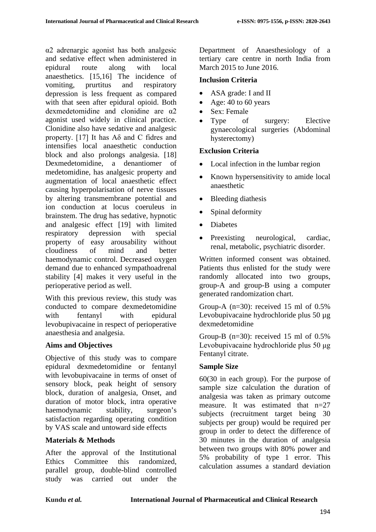α2 adrenargic agonist has both analgesic and sedative effect when administered in epidural route along with local anaesthetics. [15,16] The incidence of vomiting, prurtitus and respiratory depression is less frequent as compared with that seen after epidural opioid. Both dexmedetomidine and clonidine are α2 agonist used widely in clinical practice. Clonidine also have sedative and analgesic property. [17] It has  $A\delta$  and C fidres and intensifies local anaesthetic conduction block and also prolongs analgesia. [18] Dexmedetomidine, a denantiomer of medetomidine, has analgesic property and augmentation of local anaesthetic effect causing hyperpolarisation of nerve tissues by altering transmembrane potential and ion conduction at locus coeruleus in brainstem. The drug has sedative, hypnotic and analgesic effect [19] with limited respiratory depression with special property of easy arousability without cloudiness of mind and better haemodynamic control. Decreased oxygen demand due to enhanced sympathoadrenal stability [4] makes it very useful in the perioperative period as well.

With this previous review, this study was conducted to compare dexmedetomidine with fentanyl with epidural levobupivacaine in respect of perioperative anaesthesia and analgesia.

### **Aims and Objectives**

Objective of this study was to compare epidural dexmedetomidine or fentanyl with levobupivacaine in terms of onset of sensory block, peak height of sensory block, duration of analgesia, Onset, and duration of motor block, intra operative haemodynamic stability, surgeon's satisfaction regarding operating condition by VAS scale and untoward side effects

### **Materials & Methods**

After the approval of the Institutional Ethics Committee this randomized, parallel group, double-blind controlled study was carried out under the Department of Anaesthesiology of a tertiary care centre in north India from March 2015 to June 2016.

### **Inclusion Criteria**

- ASA grade: I and II
- Age: 40 to 60 years
- Sex: Female
- Type of surgery: Elective gynaecological surgeries (Abdominal hysterectomy)

#### **Exclusion Criteria**

- Local infection in the lumbar region
- Known hypersensitivity to amide local anaesthetic
- Bleeding diathesis
- Spinal deformity
- Diabetes
- Preexisting neurological, cardiac, renal, metabolic, psychiatric disorder.

Written informed consent was obtained. Patients thus enlisted for the study were randomly allocated into two groups, group-A and group-B using a computer generated randomization chart.

Group-A  $(n=30)$ : received 15 ml of 0.5% Levobupivacaine hydrochloride plus 50 µg dexmedetomidine

Group-B  $(n=30)$ : received 15 ml of 0.5% Levobupivacaine hydrochloride plus 50 μg Fentanyl citrate.

### **Sample Size**

60(30 in each group). For the purpose of sample size calculation the duration of analgesia was taken as primary outcome measure. It was estimated that  $n=27$ subjects (recruitment target being 30 subjects per group) would be required per group in order to detect the difference of 30 minutes in the duration of analgesia between two groups with 80% power and 5% probability of type 1 error. This calculation assumes a standard deviation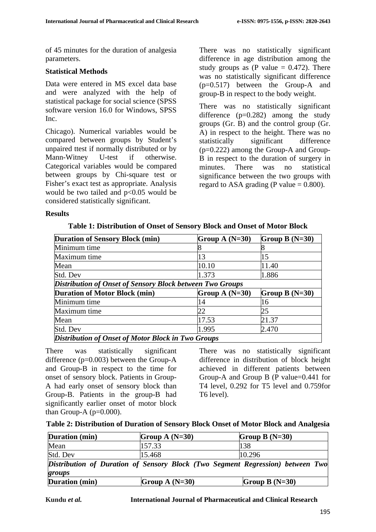of 45 minutes for the duration of analgesia parameters.

#### **Statistical Methods**

Data were entered in MS excel data base and were analyzed with the help of statistical package for social science (SPSS software version 16.0 for Windows, SPSS Inc.

Chicago). Numerical variables would be compared between groups by Student's unpaired ttest if normally distributed or by Mann-Witney U-test if otherwise. Categorical variables would be compared between groups by Chi-square test or Fisher's exact test as appropriate. Analysis would be two tailed and p<0.05 would be considered statistically significant.

There was no statistically significant difference in age distribution among the study groups as (P value  $= 0.472$ ). There was no statistically significant difference (p=0.517) between the Group-A and group-B in respect to the body weight.

There was no statistically significant difference  $(p=0.282)$  among the study groups (Gr. B) and the control group (Gr. A) in respect to the height. There was no statistically significant difference (p=0.222) among the Group-A and Group-B in respect to the duration of surgery in minutes. There was no statistical significance between the two groups with regard to ASA grading (P value  $= 0.800$ ).

#### **Results**

| <b>Duration of Sensory Block (min)</b>                           | Group A $(N=30)$ | Group B $(N=30)$ |  |  |
|------------------------------------------------------------------|------------------|------------------|--|--|
| Minimum time                                                     |                  |                  |  |  |
| Maximum time                                                     | 13               | 15               |  |  |
| Mean                                                             | 10.10            | 11.40            |  |  |
| Std. Dev                                                         | 1.373            | 1.886            |  |  |
| <b>Distribution of Onset of Sensory Block between Two Groups</b> |                  |                  |  |  |
| <b>Duration of Motor Block (min)</b>                             | Group A $(N=30)$ | Group B $(N=30)$ |  |  |
| Minimum time                                                     | 14               | 16               |  |  |
| Maximum time                                                     | 22               | 25               |  |  |
| Mean                                                             | 17.53            | 21.37            |  |  |
| Std. Dev                                                         | 1.995            | 2.470            |  |  |
| <b>Distribution of Onset of Motor Block in Two Groups</b>        |                  |                  |  |  |

**Table 1: Distribution of Onset of Sensory Block and Onset of Motor Block**

There was statistically significant difference (p=0.003) between the Group-A and Group-B in respect to the time for onset of sensory block. Patients in Group-A had early onset of sensory block than Group-B. Patients in the group-B had significantly earlier onset of motor block than Group-A  $(p=0.000)$ .

There was no statistically significant difference in distribution of block height achieved in different patients between Group-A and Group B (P value=0.441 for T4 level, 0.292 for T5 level and 0.759for T6 level).

| Table 2: Distribution of Duration of Sensory Block Onset of Motor Block and Analgesia |  |  |  |  |
|---------------------------------------------------------------------------------------|--|--|--|--|
|                                                                                       |  |  |  |  |

| Duration (min)                                                                 | Group A $(N=30)$ | Group B $(N=30)$ |  |  |
|--------------------------------------------------------------------------------|------------------|------------------|--|--|
| Mean                                                                           | 157.33           | 138              |  |  |
| Std. Dev                                                                       | 15.468           | 10.296           |  |  |
| Distribution of Duration of Sensory Block (Two Segment Regression) between Two |                  |                  |  |  |
| groups                                                                         |                  |                  |  |  |
| Duration (min)                                                                 | Group A $(N=30)$ | Group B $(N=30)$ |  |  |

**Kundu** *et al.* **International Journal of Pharmaceutical and Clinical Research**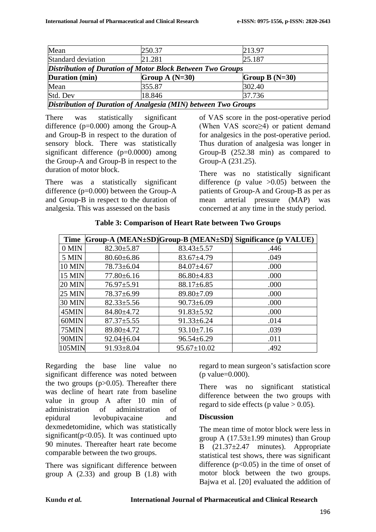| Mean                                                              | 250.37           | 213.97           |  |
|-------------------------------------------------------------------|------------------|------------------|--|
| Standard deviation                                                | 21.281           | 25.187           |  |
| <b>Distribution of Duration of Motor Block Between Two Groups</b> |                  |                  |  |
| Duration (min)                                                    | Group A $(N=30)$ | Group B $(N=30)$ |  |
| Mean                                                              | 355.87           | 302.40           |  |
| Std. Dev                                                          | 18.846           | 37.736           |  |
| Distribution of Duration of Analgesia (MIN) between Two Groups    |                  |                  |  |

There was statistically significant difference (p=0.000) among the Group-A and Group-B in respect to the duration of sensory block. There was statistically significant difference (p=0.0000) among the Group-A and Group-B in respect to the duration of motor block.

There was a statistically significant difference (p=0.000) between the Group-A and Group-B in respect to the duration of analgesia. This was assessed on the basis

of VAS score in the post-operative period (When VAS score≥4) or patient demand for analgesics in the post-operative period. Thus duration of analgesia was longer in Group-B (252.38 min) as compared to Group-A (231.25).

There was no statistically significant difference (p value  $>0.05$ ) between the patients of Group-A and Group-B as per as mean arterial pressure (MAP) was concerned at any time in the study period.

|               |                  |                   | Time Group-A (MEAN±SD)Group-B (MEAN±SD) Significance (p VALUE) |
|---------------|------------------|-------------------|----------------------------------------------------------------|
| $0$ MIN       | $82.30 \pm 5.87$ | $83.43 \pm 5.57$  | .446                                                           |
| 5 MIN         | $80.60 \pm 6.86$ | $83.67 \pm 4.79$  | .049                                                           |
| <b>10 MIN</b> | $78.73 \pm 6.04$ | $84.07 \pm 4.67$  | .000                                                           |
| <b>15 MIN</b> | $77.80 \pm 6.16$ | $86.80\pm4.83$    | .000                                                           |
| <b>20 MIN</b> | $76.97 \pm 5.91$ | $88.17 \pm 6.85$  | .000                                                           |
| <b>25 MIN</b> | $78.37 \pm 6.99$ | 89.80±7.09        | .000                                                           |
| 30 MIN        | $82.33 \pm 5.56$ | $90.73 \pm 6.09$  | .000                                                           |
| 45MIN         | 84.80±4.72       | $91.83 \pm 5.92$  | .000                                                           |
| 60MIN         | $87.37 \pm 5.55$ | $91.33 \pm 6.24$  | .014                                                           |
| 75MIN         | 89.80±4.72       | $93.10 \pm 7.16$  | .039                                                           |
| 90MIN         | $92.04 \pm 6.04$ | $96.54 \pm 6.29$  | .011                                                           |
| 105MIN        | $91.93 \pm 8.04$ | $95.67 \pm 10.02$ | .492                                                           |

**Table 3: Comparison of Heart Rate between Two Groups**

Regarding the base line value no significant difference was noted between the two groups  $(p>0.05)$ . Thereafter there was decline of heart rate from baseline value in group A after 10 min of administration of administration of epidural levobupivacaine and dexmedetomidine, which was statistically significant( $p<0.05$ ). It was continued upto 90 minutes. Thereafter heart rate become comparable between the two groups.

There was significant difference between group A  $(2.33)$  and group B  $(1.8)$  with regard to mean surgeon's satisfaction score (p value=0.000).

There was no significant statistical difference between the two groups with regard to side effects (p value  $> 0.05$ ).

# **Discussion**

The mean time of motor block were less in group A  $(17.53\pm1.99$  minutes) than Group B  $(21.37\pm2.47$  minutes). Appropriate statistical test shows, there was significant difference  $(p<0.05)$  in the time of onset of motor block between the two groups. Bajwa et al. [20] evaluated the addition of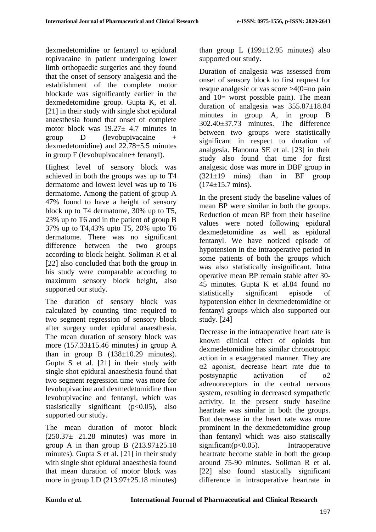dexmedetomidine or fentanyl to epidural ropivacaine in patient undergoing lower limb orthopaedic surgeries and they found that the onset of sensory analgesia and the establishment of the complete motor blockade was significantly earlier in the dexmedetomidine group. Gupta K, et al. [21] in their study with single shot epidural anaesthesia found that onset of complete motor block was  $19.27 \pm 4.7$  minutes in group D (levobupivacaine + dexmedetomidine) and 22.78±5.5 minutes in group F (levobupivacaine+ fenanyl).

Highest level of sensory block was achieved in both the groups was up to T4 dermatome and lowest level was up to T6 dermatome. Among the patient of group A 47% found to have a height of sensory block up to T4 dermatome, 30% up to T5, 23% up to T6 and in the patient of group B 37% up to T4,43% upto T5, 20% upto T6 dermatome. There was no significant difference between the two groups according to block height. Soliman R et al [22] also concluded that both the group in his study were comparable according to maximum sensory block height, also supported our study.

The duration of sensory block was calculated by counting time required to two segment regression of sensory block after surgery under epidural anaesthesia. The mean duration of sensory block was more (157.33±15.46 minutes) in group A than in group B  $(138\pm10.29 \text{ minutes})$ . Gupta S et al. [21] in their study with single shot epidural anaesthesia found that two segment regression time was more for levobupivacine and dexmedetomidine than levobupivacine and fentanyl, which was stasistically significant  $(p<0.05)$ , also supported our study.

The mean duration of motor block  $(250.37 \pm 21.28 \text{ minutes})$  was more in group A in than group B  $(213.97 \pm 25.18$ minutes). Gupta S et al. [21] in their study with single shot epidural anaesthesia found that mean duration of motor block was more in group LD (213.97±25.18 minutes) than group L  $(199\pm12.95 \text{ minutes})$  also supported our study.

Duration of analgesia was assessed from onset of sensory block to first request for resque analgesic or vas score >4(0=no pain and 10= worst possible pain). The mean duration of analgesia was 355.87±18.84 minutes in group A, in group B 302.40±37.73 minutes. The difference between two groups were statistically significant in respect to duration of analgesia. Hanoura SE et al. [23] in their study also found that time for first analgesic dose was more in DBF group in  $(321\pm19$  mins) than in BF group  $(174\pm15.7 \text{ mins}).$ 

In the present study the baseline values of mean BP were similar in both the groups. Reduction of mean BP from their baseline values were noted following epidural dexmedetomidine as well as epidural fentanyl. We have noticed episode of hypotension in the intraoperative period in some patients of both the groups which was also statistically insignificant. Intra operative mean BP remain stable after 30- 45 minutes. Gupta K et al.84 found no statistically significant episode of hypotension either in dexmedetomidine or fentanyl groups which also supported our study. [24]

Decrease in the intraoperative heart rate is known clinical effect of opioids but dexmedetomidine has similar chronotropic action in a exaggerated manner. They are α2 agonist, decrease heart rate due to postsynaptic activation of α2 adrenoreceptors in the central nervous system, resulting in decreased sympathetic activity. In the present study baseline heartrate was similar in both the groups. But decrease in the heart rate was more prominent in the dexmedetomidine group than fentanyl which was aiso statiscally significant( $p<0.05$ ). Intraoperative heartrate become stable in both the group around 75-90 minutes. Soliman R et al. [22] also found stastically significant difference in intraoperative heartrate in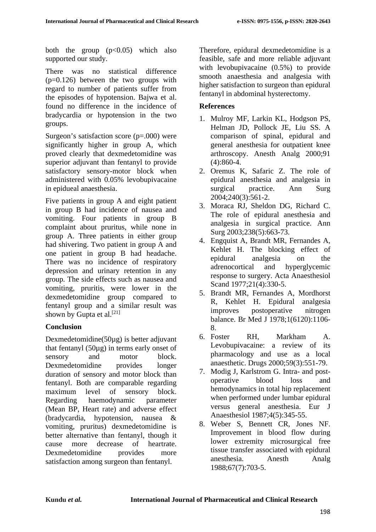both the group  $(p<0.05)$  which also supported our study.

There was no statistical difference  $(p=0.126)$  between the two groups with regard to number of patients suffer from the episodes of hypotension. Bajwa et al. found no difference in the incidence of bradycardia or hypotension in the two groups.

Surgeon's satisfaction score (p=.000) were significantly higher in group A, which proved clearly that dexmedetomidine was superior adjuvant than fentanyl to provide satisfactory sensory-motor block when administered with 0.05% levobupivacaine in epidueal anaesthesia.

Five patients in group A and eight patient in group B had incidence of nausea and vomiting. Four patients in group B complaint about pruritus, while none in group A. Three patients in either group had shivering. Two patient in group A and one patient in group B had headache. There was no incidence of respiratory depression and urinary retention in any group. The side effects such as nausea and vomiting, pruritis, were lower in the dexmedetomidine group compared to fentanyl group and a similar result was shown by Gupta et al.<sup>[21]</sup>

### **Conclusion**

Dexmedetomidine(50µg) is better adjuvant that fentanyl (50µg) in terms early onset of sensory and motor block. Dexmedetomidine provides longer duration of sensory and motor block than fentanyl. Both are comparable regarding maximum level of sensory block. Regarding haemodynamic parameter (Mean BP, Heart rate) and adverse effect (bradycardia, hypotension, nausea & vomiting, pruritus) dexmedetomidine is better alternative than fentanyl, though it cause more decrease of heartrate. Dexmedetomidine provides more satisfaction among surgeon than fentanyl.

Therefore, epidural dexmedetomidine is a feasible, safe and more reliable adjuvant with levobupivacaine (0.5%) to provide smooth anaesthesia and analgesia with higher satisfaction to surgeon than epidural fentanyl in abdominal hysterectomy.

#### **References**

- 1. Mulroy MF, Larkin KL, Hodgson PS, Helman JD, Pollock JE, Liu SS. A comparison of spinal, epidural and general anesthesia for outpatient knee arthroscopy. Anesth Analg 2000;91 (4):860-4.
- 2. Oremus K, Safaric Z. The role of epidural anesthesia and analgesia in surgical practice. Ann Surg 2004;240(3):561-2.
- 3. Moraca RJ, Sheldon DG, Richard C. The role of epidural anesthesia and analgesia in surgical practice. Ann Surg 2003;238(5):663-73.
- 4. Engquist A, Brandt MR, Fernandes A, Kehlet H. The blocking effect of epidural analgesia on the adrenocortical and hyperglycemic response to surgery. Acta Anaesthesiol Scand 1977;21(4):330-5.
- 5. Brandt MR, Fernandes A, Mordhorst R, Kehlet H. Epidural analgesia improves postoperative nitrogen balance. Br Med J 1978;1(6120):1106- 8.
- 6. Foster RH, Markham A. Levobupivacaine: a review of its pharmacology and use as a local anaesthetic. Drugs 2000;59(3):551-79.
- 7. Modig J, Karlstrom G. Intra- and postoperative blood loss and hemodynamics in total hip replacement when performed under lumbar epidural versus general anesthesia. Eur J Anaesthesiol 1987;4(5):345-55.
- 8. Weber S, Bennett CR, Jones NF. Improvement in blood flow during lower extremity microsurgical free tissue transfer associated with epidural anesthesia. Anesth Analg 1988;67(7):703-5.